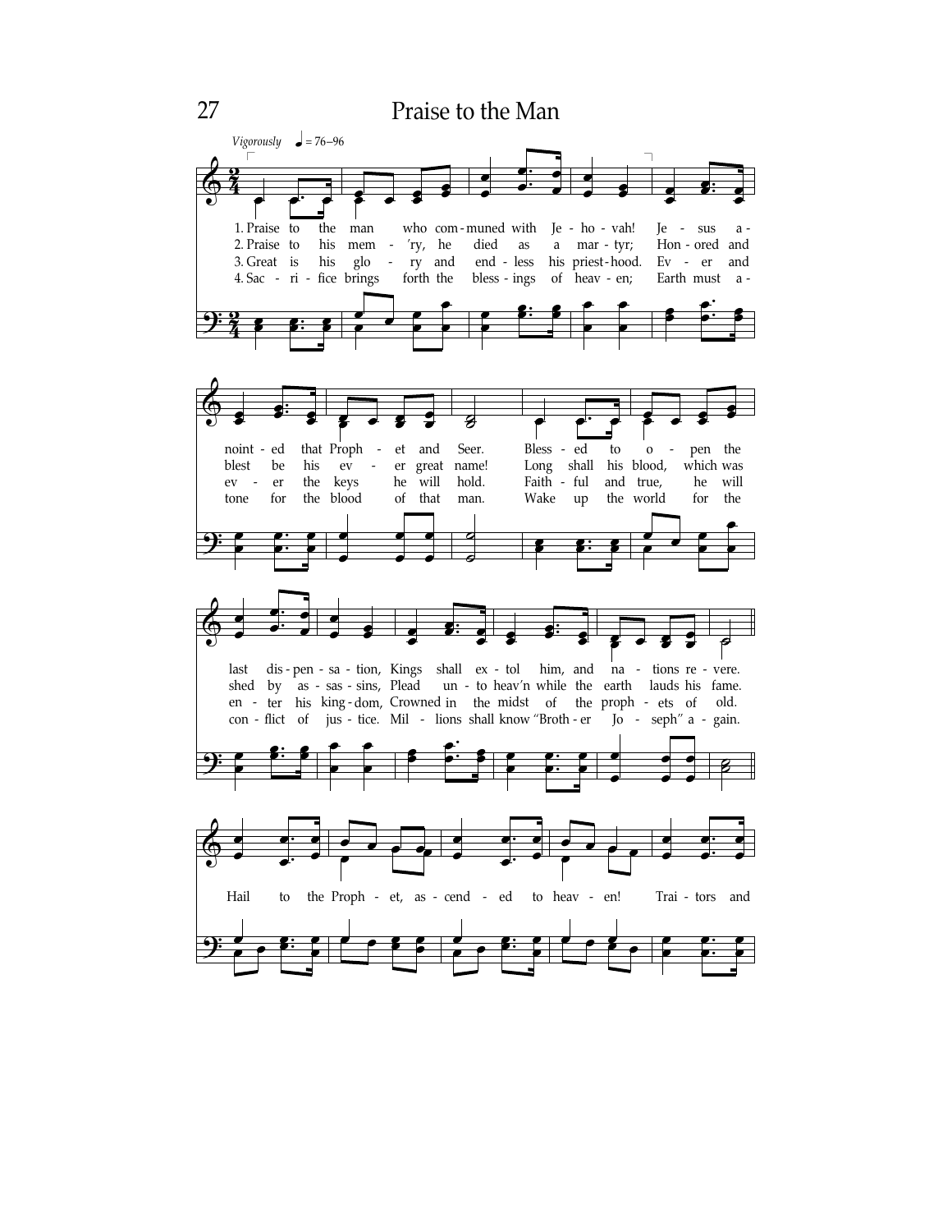## Praise to the Man